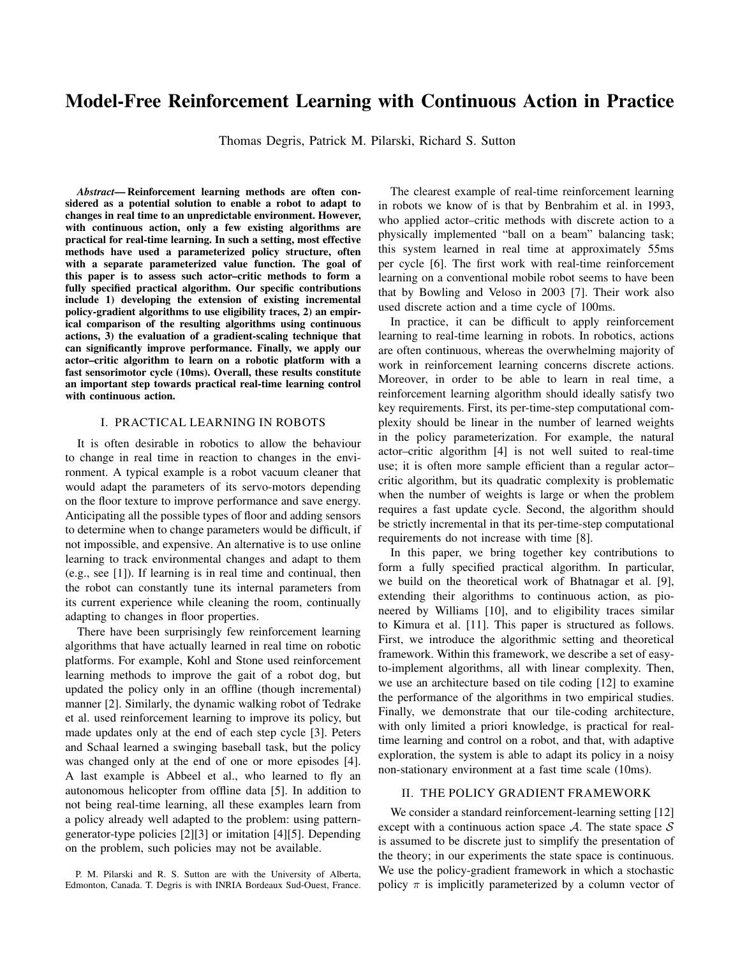# Model-Free Reinforcement Learning with Continuous Action in Practice

Thomas Degris, Patrick M. Pilarski, Richard S. Sutton

*Abstract*— Reinforcement learning methods are often considered as a potential solution to enable a robot to adapt to changes in real time to an unpredictable environment. However, with continuous action, only a few existing algorithms are practical for real-time learning. In such a setting, most effective methods have used a parameterized policy structure, often with a separate parameterized value function. The goal of this paper is to assess such actor–critic methods to form a fully specified practical algorithm. Our specific contributions include 1) developing the extension of existing incremental policy-gradient algorithms to use eligibility traces, 2) an empirical comparison of the resulting algorithms using continuous actions, 3) the evaluation of a gradient-scaling technique that can significantly improve performance. Finally, we apply our actor–critic algorithm to learn on a robotic platform with a fast sensorimotor cycle (10ms). Overall, these results constitute an important step towards practical real-time learning control with continuous action.

# I. PRACTICAL LEARNING IN ROBOTS

It is often desirable in robotics to allow the behaviour to change in real time in reaction to changes in the environment. A typical example is a robot vacuum cleaner that would adapt the parameters of its servo-motors depending on the floor texture to improve performance and save energy. Anticipating all the possible types of floor and adding sensors to determine when to change parameters would be difficult, if not impossible, and expensive. An alternative is to use online learning to track environmental changes and adapt to them (e.g., see [1]). If learning is in real time and continual, then the robot can constantly tune its internal parameters from its current experience while cleaning the room, continually adapting to changes in floor properties.

There have been surprisingly few reinforcement learning algorithms that have actually learned in real time on robotic platforms. For example, Kohl and Stone used reinforcement learning methods to improve the gait of a robot dog, but updated the policy only in an offline (though incremental) manner [2]. Similarly, the dynamic walking robot of Tedrake et al. used reinforcement learning to improve its policy, but made updates only at the end of each step cycle [3]. Peters and Schaal learned a swinging baseball task, but the policy was changed only at the end of one or more episodes [4]. A last example is Abbeel et al., who learned to fly an autonomous helicopter from offline data [5]. In addition to not being real-time learning, all these examples learn from a policy already well adapted to the problem: using patterngenerator-type policies [2][3] or imitation [4][5]. Depending on the problem, such policies may not be available.

P. M. Pilarski and R. S. Sutton are with the University of Alberta, Edmonton, Canada. T. Degris is with INRIA Bordeaux Sud-Ouest, France.

The clearest example of real-time reinforcement learning in robots we know of is that by Benbrahim et al. in 1993, who applied actor–critic methods with discrete action to a physically implemented "ball on a beam" balancing task; this system learned in real time at approximately 55ms per cycle [6]. The first work with real-time reinforcement learning on a conventional mobile robot seems to have been that by Bowling and Veloso in 2003 [7]. Their work also used discrete action and a time cycle of 100ms.

In practice, it can be difficult to apply reinforcement learning to real-time learning in robots. In robotics, actions are often continuous, whereas the overwhelming majority of work in reinforcement learning concerns discrete actions. Moreover, in order to be able to learn in real time, a reinforcement learning algorithm should ideally satisfy two key requirements. First, its per-time-step computational complexity should be linear in the number of learned weights in the policy parameterization. For example, the natural actor–critic algorithm [4] is not well suited to real-time use; it is often more sample efficient than a regular actor– critic algorithm, but its quadratic complexity is problematic when the number of weights is large or when the problem requires a fast update cycle. Second, the algorithm should be strictly incremental in that its per-time-step computational requirements do not increase with time [8].

In this paper, we bring together key contributions to form a fully specified practical algorithm. In particular, we build on the theoretical work of Bhatnagar et al. [9], extending their algorithms to continuous action, as pioneered by Williams [10], and to eligibility traces similar to Kimura et al. [11]. This paper is structured as follows. First, we introduce the algorithmic setting and theoretical framework. Within this framework, we describe a set of easyto-implement algorithms, all with linear complexity. Then, we use an architecture based on tile coding [12] to examine the performance of the algorithms in two empirical studies. Finally, we demonstrate that our tile-coding architecture, with only limited a priori knowledge, is practical for realtime learning and control on a robot, and that, with adaptive exploration, the system is able to adapt its policy in a noisy non-stationary environment at a fast time scale (10ms).

### II. THE POLICY GRADIENT FRAMEWORK

We consider a standard reinforcement-learning setting [12] except with a continuous action space  $A$ . The state space  $S$ is assumed to be discrete just to simplify the presentation of the theory; in our experiments the state space is continuous. We use the policy-gradient framework in which a stochastic policy  $\pi$  is implicitly parameterized by a column vector of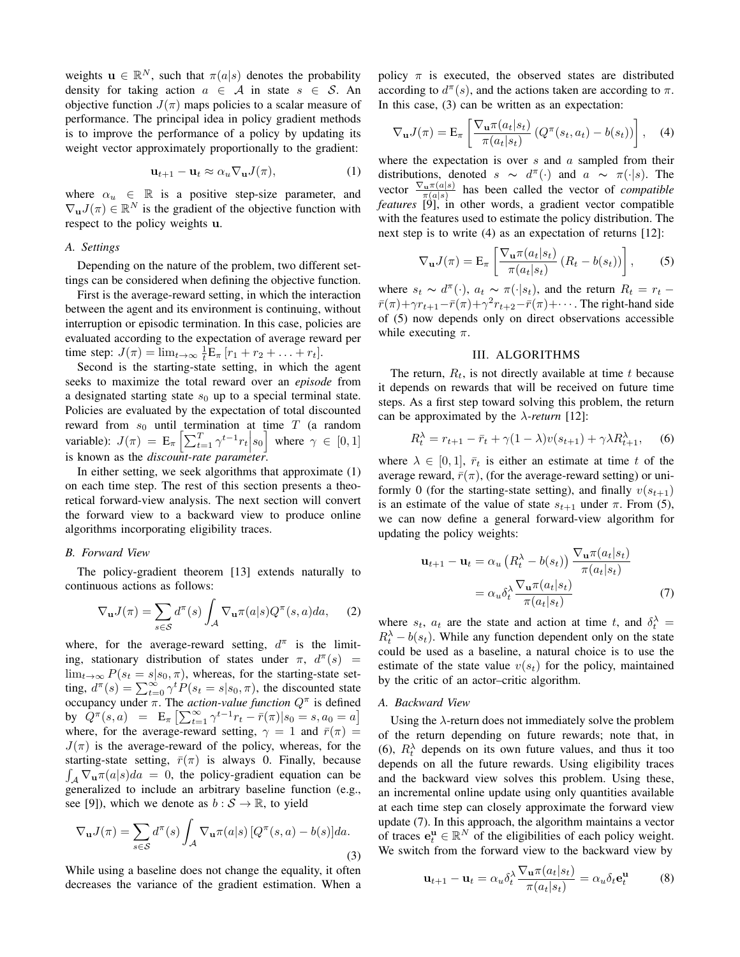weights  $\mathbf{u} \in \mathbb{R}^N$ , such that  $\pi(a|s)$  denotes the probability density for taking action  $a \in A$  in state  $s \in S$ . An objective function  $J(\pi)$  maps policies to a scalar measure of performance. The principal idea in policy gradient methods is to improve the performance of a policy by updating its weight vector approximately proportionally to the gradient:

$$
\mathbf{u}_{t+1} - \mathbf{u}_t \approx \alpha_u \nabla_\mathbf{u} J(\pi), \tag{1}
$$

where  $\alpha_u \in \mathbb{R}$  is a positive step-size parameter, and  $\nabla_{\mathbf{u}} J(\pi) \in \mathbb{R}^N$  is the gradient of the objective function with respect to the policy weights u.

### *A. Settings*

Depending on the nature of the problem, two different settings can be considered when defining the objective function.

First is the average-reward setting, in which the interaction between the agent and its environment is continuing, without interruption or episodic termination. In this case, policies are evaluated according to the expectation of average reward per time step:  $J(\pi) = \lim_{t \to \infty} \frac{1}{t} E_{\pi} [r_1 + r_2 + \dots + r_t].$ 

Second is the starting-state setting, in which the agent seeks to maximize the total reward over an *episode* from a designated starting state  $s_0$  up to a special terminal state. Policies are evaluated by the expectation of total discounted reward from  $s_0$  until termination at time  $T$  (a random variable):  $J(\pi) = \mathbb{E}_{\pi} \left[ \sum_{t=1}^{T} \gamma^{t-1} r_t \middle| s_0 \right]$  where  $\gamma \in [0, 1]$ is known as the *discount-rate parameter*.

In either setting, we seek algorithms that approximate (1) on each time step. The rest of this section presents a theoretical forward-view analysis. The next section will convert the forward view to a backward view to produce online algorithms incorporating eligibility traces.

#### *B. Forward View*

The policy-gradient theorem [13] extends naturally to continuous actions as follows:

$$
\nabla_{\mathbf{u}} J(\pi) = \sum_{s \in \mathcal{S}} d^{\pi}(s) \int_{\mathcal{A}} \nabla_{\mathbf{u}} \pi(a|s) Q^{\pi}(s, a) da, \quad (2)
$$

where, for the average-reward setting,  $d^{\pi}$  is the limiting, stationary distribution of states under  $\pi$ ,  $d^{\pi}(s)$  =  $\lim_{t\to\infty} P(s_t = s | s_0, \pi)$ , whereas, for the starting-state setting,  $d^{\pi}(s) = \sum_{t=0}^{\infty} \gamma^t P(s_t = s | s_0, \pi)$ , the discounted state occupancy under  $\pi$ . The *action-value function*  $Q^{\pi}$  is defined by  $Q^{\pi}(s, a) = \mathbb{E}_{\pi} \left[ \sum_{t=1}^{\infty} \gamma^{t-1} r_t - \bar{r}(\pi) | s_0 = s, a_0 = a \right]$ where, for the average-reward setting,  $\gamma = 1$  and  $\bar{r}(\pi) =$  $J(\pi)$  is the average-reward of the policy, whereas, for the starting-state setting,  $\bar{r}(\pi)$  is always 0. Finally, because  $\int_{A} \nabla_{\mathbf{u}} \pi(a|s)da = 0$ , the policy-gradient equation can be generalized to include an arbitrary baseline function (e.g., see [9]), which we denote as  $b : S \to \mathbb{R}$ , to yield

$$
\nabla_{\mathbf{u}} J(\pi) = \sum_{s \in \mathcal{S}} d^{\pi}(s) \int_{\mathcal{A}} \nabla_{\mathbf{u}} \pi(a|s) \left[ Q^{\pi}(s, a) - b(s) \right] da. \tag{3}
$$

While using a baseline does not change the equality, it often decreases the variance of the gradient estimation. When a policy  $\pi$  is executed, the observed states are distributed according to  $d^{\pi}(s)$ , and the actions taken are according to  $\pi$ . In this case, (3) can be written as an expectation:

$$
\nabla_{\mathbf{u}} J(\pi) = \mathbf{E}_{\pi} \left[ \frac{\nabla_{\mathbf{u}} \pi(a_t|s_t)}{\pi(a_t|s_t)} \left( Q^{\pi}(s_t, a_t) - b(s_t) \right) \right], \quad (4)
$$

where the expectation is over  $s$  and  $a$  sampled from their distributions, denoted  $s \sim d^{\pi}(\cdot)$  and  $a \sim \pi(\cdot|s)$ . The vector  $\frac{\nabla_{\mathbf{u}} \pi(a|s)}{\pi(a|s)}$  has been called the vector of *compatible features* [9], in other words, a gradient vector compatible with the features used to estimate the policy distribution. The next step is to write (4) as an expectation of returns [12]:

$$
\nabla_{\mathbf{u}} J(\pi) = \mathbf{E}_{\pi} \left[ \frac{\nabla_{\mathbf{u}} \pi(a_t | s_t)}{\pi(a_t | s_t)} \left( R_t - b(s_t) \right) \right],\tag{5}
$$

where  $s_t \sim d^{\pi}(\cdot)$ ,  $a_t \sim \pi(\cdot | s_t)$ , and the return  $R_t = r_t$  –  $\bar{r}(\pi)$ + $\gamma r_{t+1}$ - $\bar{r}(\pi)$ + $\gamma^2 r_{t+2}$ - $\bar{r}(\pi)$ +···. The right-hand side of (5) now depends only on direct observations accessible while executing  $\pi$ .

### III. ALGORITHMS

The return,  $R_t$ , is not directly available at time t because it depends on rewards that will be received on future time steps. As a first step toward solving this problem, the return can be approximated by the λ*-return* [12]:

$$
R_t^{\lambda} = r_{t+1} - \bar{r}_t + \gamma (1 - \lambda) v(s_{t+1}) + \gamma \lambda R_{t+1}^{\lambda}, \quad (6)
$$

where  $\lambda \in [0, 1]$ ,  $\bar{r}_t$  is either an estimate at time t of the average reward,  $\bar{r}(\pi)$ , (for the average-reward setting) or uniformly 0 (for the starting-state setting), and finally  $v(s_{t+1})$ is an estimate of the value of state  $s_{t+1}$  under  $\pi$ . From (5), we can now define a general forward-view algorithm for updating the policy weights:

$$
\mathbf{u}_{t+1} - \mathbf{u}_t = \alpha_u \left( R_t^{\lambda} - b(s_t) \right) \frac{\nabla_\mathbf{u} \pi(a_t|s_t)}{\pi(a_t|s_t)}
$$

$$
= \alpha_u \delta_t^{\lambda} \frac{\nabla_\mathbf{u} \pi(a_t|s_t)}{\pi(a_t|s_t)} \tag{7}
$$

where  $s_t$ ,  $a_t$  are the state and action at time t, and  $\delta_t^{\lambda}$  =  $R_t^{\lambda} - b(s_t)$ . While any function dependent only on the state could be used as a baseline, a natural choice is to use the estimate of the state value  $v(s_t)$  for the policy, maintained by the critic of an actor–critic algorithm.

### *A. Backward View*

Using the  $\lambda$ -return does not immediately solve the problem of the return depending on future rewards; note that, in (6),  $R_t^{\lambda}$  depends on its own future values, and thus it too depends on all the future rewards. Using eligibility traces and the backward view solves this problem. Using these, an incremental online update using only quantities available at each time step can closely approximate the forward view update (7). In this approach, the algorithm maintains a vector of traces  $\mathbf{e}_t^{\mathbf{u}} \in \mathbb{R}^N$  of the eligibilities of each policy weight. We switch from the forward view to the backward view by

$$
\mathbf{u}_{t+1} - \mathbf{u}_t = \alpha_u \delta_t^{\lambda} \frac{\nabla_\mathbf{u} \pi(a_t | s_t)}{\pi(a_t | s_t)} = \alpha_u \delta_t \mathbf{e}_t^{\mathbf{u}} \tag{8}
$$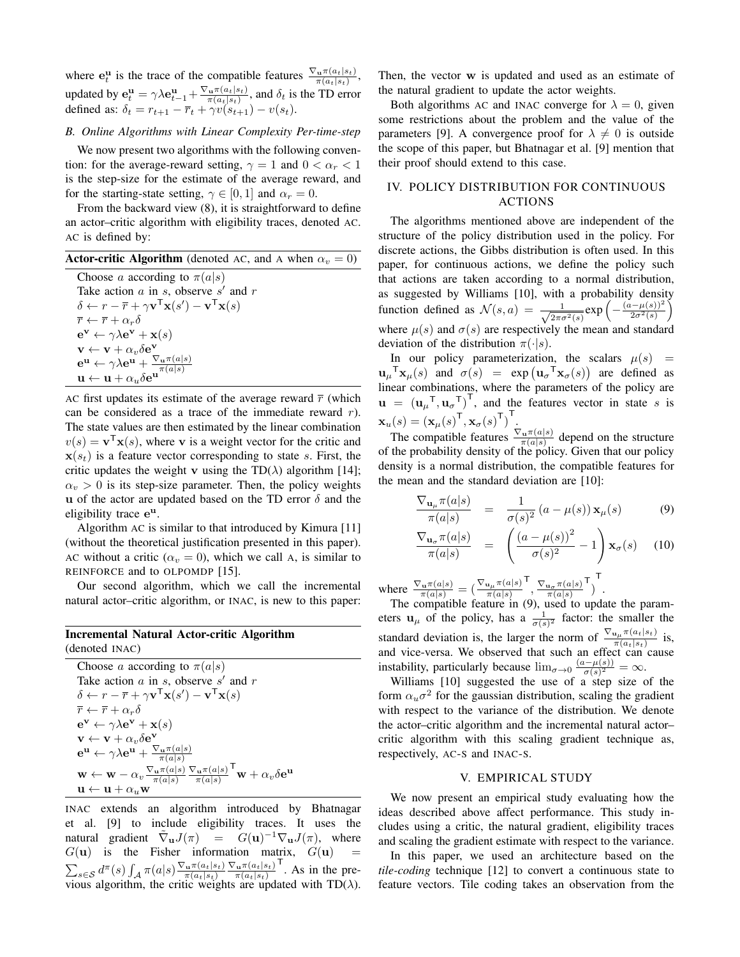where  $e_t^u$  is the trace of the compatible features  $\frac{\nabla_u \pi(a_t|s_t)}{\pi(a_t|s_t)}$ , updated by  $\mathbf{e}_t^{\mathbf{u}} = \gamma \lambda \mathbf{e}_{t-1}^{\mathbf{u}} + \frac{\nabla_{\mathbf{u}} \pi(a_t|s_t)}{\pi(a_t|s_t)}$  $\frac{\mathbf{u}^{\pi(a_t|s_t)}}{\pi(a_t|s_t)}$ , and  $\delta_t$  is the TD error defined as:  $\delta_t = r_{t+1} - \bar{r}_t + \gamma v(s_{t+1}) - v(s_t)$ .

# *B. Online Algorithms with Linear Complexity Per-time-step*

We now present two algorithms with the following convention: for the average-reward setting,  $\gamma = 1$  and  $0 < \alpha_r < 1$ is the step-size for the estimate of the average reward, and for the starting-state setting,  $\gamma \in [0, 1]$  and  $\alpha_r = 0$ .

From the backward view (8), it is straightforward to define an actor–critic algorithm with eligibility traces, denoted AC. AC is defined by:

| <b>Actor-critic Algorithm</b> (denoted AC, and A when $\alpha_v = 0$ ) |  |  |  |  |  |
|------------------------------------------------------------------------|--|--|--|--|--|
|------------------------------------------------------------------------|--|--|--|--|--|

Choose a according to  $\pi(a|s)$ Take action  $a$  in  $s$ , observe  $s'$  and  $r$  $\delta \leftarrow r - \overline{r} + \gamma \mathbf{v}^{\mathsf{T}} \mathbf{x}(s') - \mathbf{v}^{\mathsf{T}} \mathbf{x}(s)$  $\overline{r} \leftarrow \overline{r} + \alpha_r \delta$  $\mathbf{e}^{\mathbf{v}} \leftarrow \gamma \lambda \mathbf{e}^{\mathbf{v}} + \mathbf{x}(s)$  $\mathbf{v} \leftarrow \mathbf{v} + \alpha_v \delta \mathbf{e}^{\mathbf{v}}$  $\mathbf{e}^{\mathbf{u}} \leftarrow \gamma \lambda \mathbf{e}^{\mathbf{u}} + \frac{\nabla_{\mathbf{u}} \pi(a|s)}{\pi(a|s)}$ <br>  $\mathbf{u} \leftarrow \mathbf{u} + \alpha_u \delta \mathbf{e}^{\mathbf{u}}$ 

AC first updates its estimate of the average reward  $\bar{r}$  (which can be considered as a trace of the immediate reward  $r$ ). The state values are then estimated by the linear combination  $v(s) = \mathbf{v}^T \mathbf{x}(s)$ , where **v** is a weight vector for the critic and  $\mathbf{x}(s_t)$  is a feature vector corresponding to state s. First, the critic updates the weight v using the TD( $\lambda$ ) algorithm [14];  $\alpha_v > 0$  is its step-size parameter. Then, the policy weights u of the actor are updated based on the TD error  $\delta$  and the eligibility trace e<sup>u</sup>.

Algorithm AC is similar to that introduced by Kimura [11] (without the theoretical justification presented in this paper). AC without a critic ( $\alpha_v = 0$ ), which we call A, is similar to REINFORCE and to OLPOMDP [15].

Our second algorithm, which we call the incremental natural actor–critic algorithm, or INAC, is new to this paper:

### Incremental Natural Actor-critic Algorithm (denoted INAC)

Choose a according to  $\pi(a|s)$ Take action  $a$  in  $s$ , observe  $s'$  and  $r$  $\delta \leftarrow r - \overline{r} + \gamma \mathbf{v}^{\mathsf{T}} \mathbf{x}(s') - \mathbf{v}^{\mathsf{T}} \mathbf{x}(s)$  $\overline{r} \leftarrow \overline{r} + \alpha_r \delta$  $\mathbf{e}^{\mathbf{v}} \leftarrow \gamma \lambda \mathbf{e}^{\mathbf{v}} + \mathbf{x}(s)$  $\mathbf{v} \leftarrow \mathbf{v} + \alpha_v \delta \mathbf{e}^{\mathbf{v}}$  $\mathrm{e}^{\mathbf{u}} \leftarrow \gamma \lambda \mathrm{e}^{\mathbf{u}} + \frac{\nabla_{\mathbf{u}} \pi(a|s)}{\pi(a|s)}$  $\mathbf{w} \leftarrow \mathbf{w} - \alpha_v \frac{\nabla_\mathbf{u} \pi(a|s)}{\pi(a|s)} \frac{\nabla_\mathbf{u} \pi(a|s)}{\pi(a|s)}$  $\mathbf{v} + \alpha_v \delta \mathbf{e^u}$  $\mathbf{u} \leftarrow \mathbf{u} + \alpha_u \mathbf{w}$ 

INAC extends an algorithm introduced by Bhatnagar et al. [9] to include eligibility traces. It uses the natural gradient  $\tilde{\nabla}_{\mathbf{u}} J(\pi) = G(\mathbf{u})^{-1} \nabla_{\mathbf{u}} J(\pi)$ , where  $G(\mathbf{u})$  is the Fisher information matrix,  $G(\mathbf{u})$  $\sum_{s\in\mathcal{S}}d^{\pi}(s)\int_{\mathcal{A}}\pi(a|s)\frac{\nabla_{\mathbf{u}}\pi(a_t|s_t)}{\pi(a_t|s_t)}$  $\pi(a_t|s_t)$  $\nabla_{\mathbf{u}} \pi(a_t|s_t)$  $\pi(a_t|s_t)$  $\overline{I}$ . As in the previous algorithm, the critic weights are updated with  $TD(\lambda)$ .

Then, the vector w is updated and used as an estimate of the natural gradient to update the actor weights.

Both algorithms AC and INAC converge for  $\lambda = 0$ , given some restrictions about the problem and the value of the parameters [9]. A convergence proof for  $\lambda \neq 0$  is outside the scope of this paper, but Bhatnagar et al. [9] mention that their proof should extend to this case.

# IV. POLICY DISTRIBUTION FOR CONTINUOUS ACTIONS

The algorithms mentioned above are independent of the structure of the policy distribution used in the policy. For discrete actions, the Gibbs distribution is often used. In this paper, for continuous actions, we define the policy such that actions are taken according to a normal distribution, as suggested by Williams [10], with a probability density function defined as  $\mathcal{N}(s, a) = \frac{1}{\sqrt{2\pi}}$  $\frac{1}{2\pi\sigma^2(s)}$ exp $\left(-\frac{(a-\mu(s))^2}{2\sigma^2(s)}\right)$  $\frac{(-\mu(s))^2}{2\sigma^2(s)}$ where  $\mu(s)$  and  $\sigma(s)$  are respectively the mean and standard deviation of the distribution  $\pi(\cdot|s)$ .

In our policy parameterization, the scalars  $\mu(s)$  =  $\mathbf{u}_{\mu}^{\mathsf{T}}\mathbf{x}_{\mu}(s)$  and  $\sigma(s) = \exp(\mathbf{u}_{\sigma}^{\mathsf{T}}\mathbf{x}_{\sigma}(s))$  are defined as linear combinations, where the parameters of the policy are  $\mathbf{u} = (\mathbf{u}_{\mu}^T, \mathbf{u}_{\sigma}^T)^T$ , and the features vector in state s is  $\mathbf{x}_u(s) = (\mathbf{x}_{\mu}(s)^{\mathsf{T}}, \mathbf{x}_{\sigma}(s)^{\mathsf{T}})^{\mathsf{T}}$ .

The compatible features  $\frac{\nabla_{\mathbf{u}} \pi(a|s)}{\pi(a|s)}$  depend on the structure of the probability density of the policy. Given that our policy density is a normal distribution, the compatible features for the mean and the standard deviation are [10]:

$$
\frac{\nabla_{\mathbf{u}_{\mu}}\pi(a|s)}{\pi(a|s)} = \frac{1}{\sigma(s)^2} (a - \mu(s)) \mathbf{x}_{\mu}(s) \tag{9}
$$

$$
\frac{\nabla_{\mathbf{u}_{\sigma}}\pi(a|s)}{\pi(a|s)} = \left(\frac{\left(a-\mu(s)\right)^2}{\sigma(s)^2} - 1\right)\mathbf{x}_{\sigma}(s) \quad (10)
$$

where  $\frac{\nabla_{\mathbf{u}} \pi(a|s)}{\pi(a|s)} = \left(\frac{\nabla_{\mathbf{u}_{\mu}} \pi(a|s)}{\pi(a|s)}\right)$  $\frac{\nabla_{\mathbf{u}_{\sigma}} \pi(a|s)}{\pi(a|s)}$ T ) T .

The compatible feature in (9), used to update the parameters  $\mathbf{u}_{\mu}$  of the policy, has a  $\frac{1}{\sigma(s)^2}$  factor: the smaller the standard deviation is, the larger the norm of  $\frac{\nabla_{u\mu}\pi(a_t|s_t)}{\pi(a_t|s_t)}$  is, and vice-versa. We observed that such an effect can cause instability, particularly because  $\lim_{\sigma \to 0} \frac{(a-\mu(s))}{\sigma(s)^2}$  $\frac{\partial \sigma(s)}{\partial s} = \infty.$ 

Williams [10] suggested the use of a step size of the form  $\alpha_u \sigma^2$  for the gaussian distribution, scaling the gradient with respect to the variance of the distribution. We denote the actor–critic algorithm and the incremental natural actor– critic algorithm with this scaling gradient technique as, respectively, AC-S and INAC-S.

# V. EMPIRICAL STUDY

We now present an empirical study evaluating how the ideas described above affect performance. This study includes using a critic, the natural gradient, eligibility traces and scaling the gradient estimate with respect to the variance.

In this paper, we used an architecture based on the *tile-coding* technique [12] to convert a continuous state to feature vectors. Tile coding takes an observation from the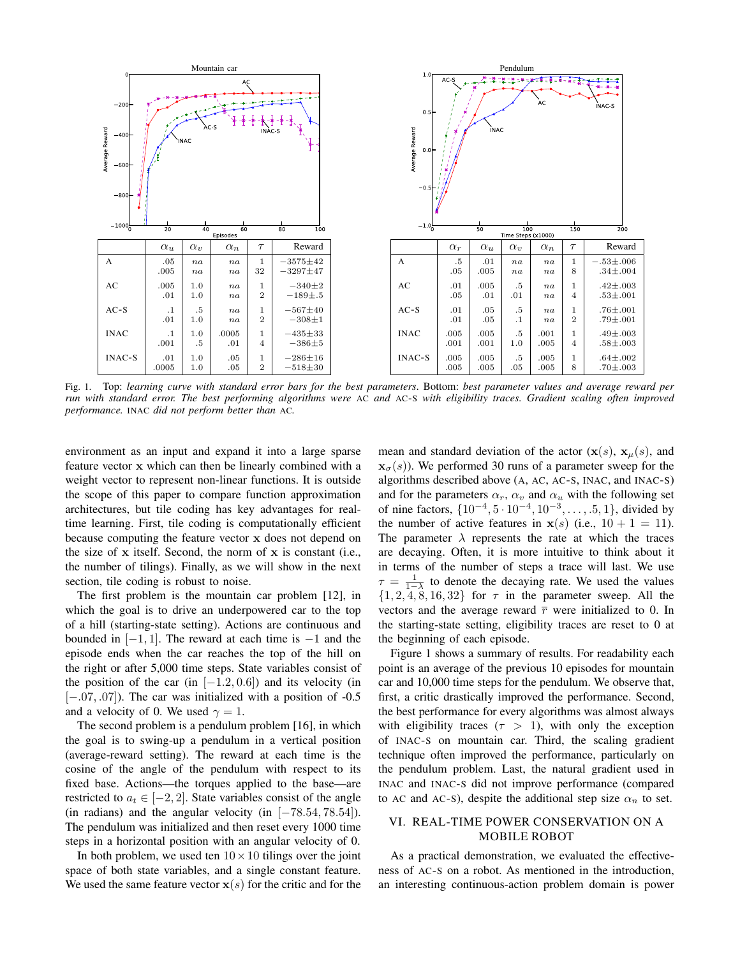

Fig. 1. Top: *learning curve with standard error bars for the best parameters*. Bottom: *best parameter values and average reward per run with standard error. The best performing algorithms were* AC *and* AC-S *with eligibility traces. Gradient scaling often improved performance.* INAC *did not perform better than* AC*.*

environment as an input and expand it into a large sparse feature vector x which can then be linearly combined with a weight vector to represent non-linear functions. It is outside the scope of this paper to compare function approximation architectures, but tile coding has key advantages for realtime learning. First, tile coding is computationally efficient because computing the feature vector x does not depend on the size of  $x$  itself. Second, the norm of  $x$  is constant (i.e., the number of tilings). Finally, as we will show in the next section, tile coding is robust to noise.

The first problem is the mountain car problem [12], in which the goal is to drive an underpowered car to the top of a hill (starting-state setting). Actions are continuous and bounded in  $[-1, 1]$ . The reward at each time is  $-1$  and the episode ends when the car reaches the top of the hill on the right or after 5,000 time steps. State variables consist of the position of the car (in  $[-1.2, 0.6]$ ) and its velocity (in  $[-.07, .07]$ ). The car was initialized with a position of  $-0.5$ and a velocity of 0. We used  $\gamma = 1$ .

The second problem is a pendulum problem [16], in which the goal is to swing-up a pendulum in a vertical position (average-reward setting). The reward at each time is the cosine of the angle of the pendulum with respect to its fixed base. Actions—the torques applied to the base—are restricted to  $a_t \in [-2, 2]$ . State variables consist of the angle (in radians) and the angular velocity (in  $[-78.54, 78.54]$ ). The pendulum was initialized and then reset every 1000 time steps in a horizontal position with an angular velocity of 0.

In both problem, we used ten  $10 \times 10$  tilings over the joint space of both state variables, and a single constant feature. We used the same feature vector  $x(s)$  for the critic and for the mean and standard deviation of the actor  $(\mathbf{x}(s), \mathbf{x}_{\mu}(s))$ , and  $\mathbf{x}_{\sigma}(s)$ ). We performed 30 runs of a parameter sweep for the algorithms described above (A, AC, AC-S, INAC, and INAC-S) and for the parameters  $\alpha_r$ ,  $\alpha_v$  and  $\alpha_u$  with the following set of nine factors,  $\{10^{-4}, 5 \cdot 10^{-4}, 10^{-3}, \dots, .5, 1\}$ , divided by the number of active features in  $x(s)$  (i.e.,  $10 + 1 = 11$ ). The parameter  $\lambda$  represents the rate at which the traces are decaying. Often, it is more intuitive to think about it in terms of the number of steps a trace will last. We use  $\tau = \frac{1}{1-\lambda}$  to denote the decaying rate. We used the values  $\{1, 2, 4, 8, 16, 32\}$  for  $\tau$  in the parameter sweep. All the vectors and the average reward  $\bar{r}$  were initialized to 0. In the starting-state setting, eligibility traces are reset to 0 at the beginning of each episode.

Figure 1 shows a summary of results. For readability each point is an average of the previous 10 episodes for mountain car and 10,000 time steps for the pendulum. We observe that, first, a critic drastically improved the performance. Second, the best performance for every algorithms was almost always with eligibility traces ( $\tau > 1$ ), with only the exception of INAC-S on mountain car. Third, the scaling gradient technique often improved the performance, particularly on the pendulum problem. Last, the natural gradient used in INAC and INAC-S did not improve performance (compared to AC and AC-S), despite the additional step size  $\alpha_n$  to set.

# VI. REAL-TIME POWER CONSERVATION ON A MOBILE ROBOT

As a practical demonstration, we evaluated the effectiveness of AC-S on a robot. As mentioned in the introduction, an interesting continuous-action problem domain is power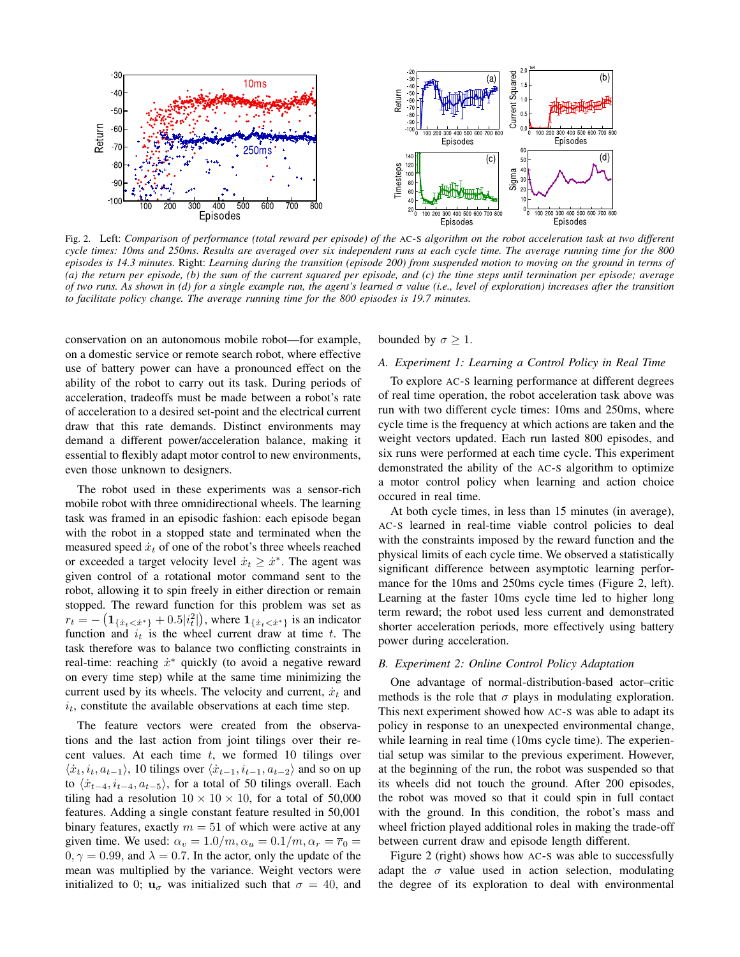

Fig. 2. Left: *Comparison of performance (total reward per episode) of the* AC-S *algorithm on the robot acceleration task at two different cycle times: 10ms and 250ms. Results are averaged over six independent runs at each cycle time. The average running time for the 800 episodes is 14.3 minutes.* Right: *Learning during the transition (episode 200) from suspended motion to moving on the ground in terms of (a) the return per episode, (b) the sum of the current squared per episode, and (c) the time steps until termination per episode; average of two runs. As shown in (d) for a single example run, the agent's learned* σ *value (i.e., level of exploration) increases after the transition to facilitate policy change. The average running time for the 800 episodes is 19.7 minutes.*

conservation on an autonomous mobile robot—for example, on a domestic service or remote search robot, where effective use of battery power can have a pronounced effect on the ability of the robot to carry out its task. During periods of acceleration, tradeoffs must be made between a robot's rate of acceleration to a desired set-point and the electrical current draw that this rate demands. Distinct environments may demand a different power/acceleration balance, making it essential to flexibly adapt motor control to new environments, even those unknown to designers.

The robot used in these experiments was a sensor-rich mobile robot with three omnidirectional wheels. The learning task was framed in an episodic fashion: each episode began with the robot in a stopped state and terminated when the measured speed  $\dot{x}_t$  of one of the robot's three wheels reached or exceeded a target velocity level  $\dot{x}_t \geq \dot{x}^*$ . The agent was given control of a rotational motor command sent to the robot, allowing it to spin freely in either direction or remain stopped. The reward function for this problem was set as  $r_t = -\left(\mathbf{1}_{\{\dot{x}_t < \dot{x}^*\}} + 0.5|i_t^2|\right)$ , where  $\mathbf{1}_{\{\dot{x}_t < \dot{x}^*\}}$  is an indicator function and  $i_t$  is the wheel current draw at time t. The task therefore was to balance two conflicting constraints in real-time: reaching  $\dot{x}^*$  quickly (to avoid a negative reward on every time step) while at the same time minimizing the current used by its wheels. The velocity and current,  $\dot{x}_t$  and  $i_t$ , constitute the available observations at each time step.

The feature vectors were created from the observations and the last action from joint tilings over their recent values. At each time  $t$ , we formed 10 tilings over  $\langle \dot{x}_t, i_t, a_{t-1} \rangle$ , 10 tilings over  $\langle \dot{x}_{t-1}, i_{t-1}, a_{t-2} \rangle$  and so on up to  $\langle \dot{x}_{t-4}, \dot{u}_{t-4}, a_{t-5} \rangle$ , for a total of 50 tilings overall. Each tiling had a resolution  $10 \times 10 \times 10$ , for a total of 50,000 features. Adding a single constant feature resulted in 50,001 binary features, exactly  $m = 51$  of which were active at any given time. We used:  $\alpha_v = 1.0/m$ ,  $\alpha_u = 0.1/m$ ,  $\alpha_r = \overline{r}_0 =$  $0, \gamma = 0.99$ , and  $\lambda = 0.7$ . In the actor, only the update of the mean was multiplied by the variance. Weight vectors were initialized to 0;  $\mathbf{u}_{\sigma}$  was initialized such that  $\sigma = 40$ , and bounded by  $\sigma \geq 1$ .

### *A. Experiment 1: Learning a Control Policy in Real Time*

To explore AC-S learning performance at different degrees of real time operation, the robot acceleration task above was run with two different cycle times: 10ms and 250ms, where cycle time is the frequency at which actions are taken and the weight vectors updated. Each run lasted 800 episodes, and six runs were performed at each time cycle. This experiment demonstrated the ability of the AC-S algorithm to optimize a motor control policy when learning and action choice occured in real time.

At both cycle times, in less than 15 minutes (in average), AC-S learned in real-time viable control policies to deal with the constraints imposed by the reward function and the physical limits of each cycle time. We observed a statistically significant difference between asymptotic learning performance for the 10ms and 250ms cycle times (Figure 2, left). Learning at the faster 10ms cycle time led to higher long term reward; the robot used less current and demonstrated shorter acceleration periods, more effectively using battery power during acceleration.

# *B. Experiment 2: Online Control Policy Adaptation*

One advantage of normal-distribution-based actor–critic methods is the role that  $\sigma$  plays in modulating exploration. This next experiment showed how AC-S was able to adapt its policy in response to an unexpected environmental change, while learning in real time (10ms cycle time). The experiential setup was similar to the previous experiment. However, at the beginning of the run, the robot was suspended so that its wheels did not touch the ground. After 200 episodes, the robot was moved so that it could spin in full contact with the ground. In this condition, the robot's mass and wheel friction played additional roles in making the trade-off between current draw and episode length different.

Figure 2 (right) shows how AC-S was able to successfully adapt the  $\sigma$  value used in action selection, modulating the degree of its exploration to deal with environmental